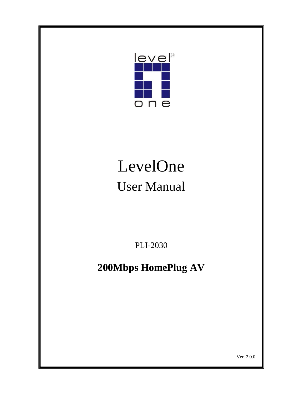

# LevelOne User Manual

PLI-2030

# **200Mbps HomePlug AV**

Ver. 2.0.0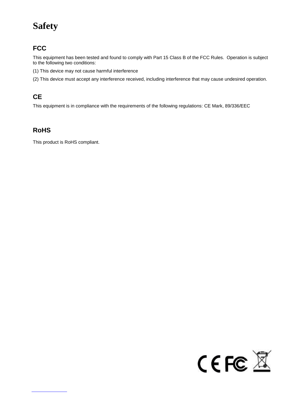# **Safety**

### **FCC**

This equipment has been tested and found to comply with Part 15 Class B of the FCC Rules. Operation is subject to the following two conditions:

- (1) This device may not cause harmful interference
- (2) This device must accept any interference received, including interference that may cause undesired operation.

### **CE**

This equipment is in compliance with the requirements of the following regulations: CE Mark, 89/336/EEC

### **RoHS**

This product is RoHS compliant.

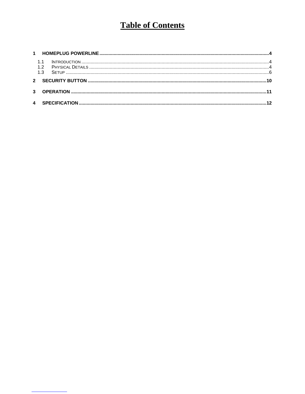# **Table of Contents**

| 13 |  |
|----|--|
|    |  |
|    |  |
|    |  |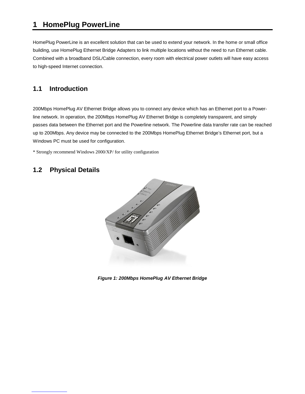### **1 HomePlug PowerLine**

HomePlug PowerLine is an excellent solution that can be used to extend your network. In the home or small office building, use HomePlug Ethernet Bridge Adapters to link multiple locations without the need to run Ethernet cable. Combined with a broadband DSL/Cable connection, every room with electrical power outlets will have easy access to high-speed Internet connection.

### **1.1 Introduction**

200Mbps HomePlug AV Ethernet Bridge allows you to connect any device which has an Ethernet port to a Powerline network. In operation, the 200Mbps HomePlug AV Ethernet Bridge is completely transparent, and simply passes data between the Ethernet port and the Powerline network. The Powerline data transfer rate can be reached up to 200Mbps. Any device may be connected to the 200Mbps HomePlug Ethernet Bridge's Ethernet port, but a Windows PC must be used for configuration.

\* Strongly recommend Windows 2000/XP/ for utility configuration

### **1.2 Physical Details**



*Figure 1: 200Mbps HomePlug AV Ethernet Bridge*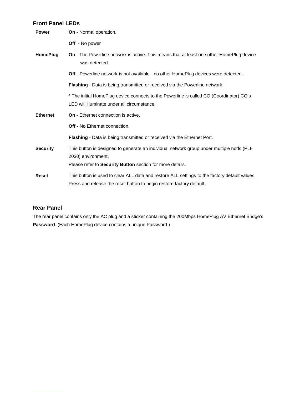#### **Front Panel LEDs**

| <b>Power</b>    | On - Normal operation.                                                                                                                                                |  |  |  |  |
|-----------------|-----------------------------------------------------------------------------------------------------------------------------------------------------------------------|--|--|--|--|
|                 | Off - No power                                                                                                                                                        |  |  |  |  |
| <b>HomePlug</b> | On - The Powerline network is active. This means that at least one other HomePlug device<br>was detected.                                                             |  |  |  |  |
|                 | Off - Powerline network is not available - no other HomePlug devices were detected.                                                                                   |  |  |  |  |
|                 | Flashing - Data is being transmitted or received via the Powerline network.                                                                                           |  |  |  |  |
|                 | * The initial HomePlug device connects to the Powerline is called CO (Coordinator) CO's<br>LED will illuminate under all circumstance.                                |  |  |  |  |
| <b>Ethernet</b> | On - Ethernet connection is active.                                                                                                                                   |  |  |  |  |
|                 | <b>Off</b> - No Ethernet connection.                                                                                                                                  |  |  |  |  |
|                 | Flashing - Data is being transmitted or received via the Ethernet Port.                                                                                               |  |  |  |  |
| <b>Security</b> | This button is designed to generate an individual network group under multiple nods (PLI-<br>2030) environment.                                                       |  |  |  |  |
|                 | Please refer to Security Button section for more details.                                                                                                             |  |  |  |  |
| Reset           | This button is used to clear ALL data and restore ALL settings to the factory default values.<br>Press and release the reset button to begin restore factory default. |  |  |  |  |

### **Rear Panel**

The rear panel contains only the AC plug and a sticker containing the 200Mbps HomePlug AV Ethernet Bridge's **Password**. (Each HomePlug device contains a unique Password.)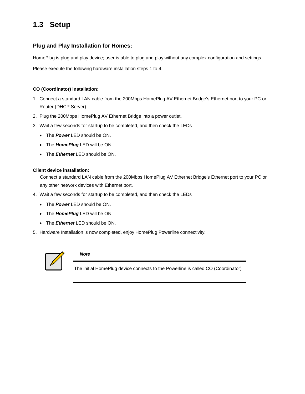### **1.3 Setup**

### **Plug and Play Installation for Homes:**

HomePlug is plug and play device; user is able to plug and play without any complex configuration and settings.

Please execute the following hardware installation steps 1 to 4.

#### **CO (Coordinator) installation:**

- 1. Connect a standard LAN cable from the 200Mbps HomePlug AV Ethernet Bridge's Ethernet port to your PC or Router (DHCP Server).
- 2. Plug the 200Mbps HomePlug AV Ethernet Bridge into a power outlet.
- 3. Wait a few seconds for startup to be completed, and then check the LEDs
	- The *Power* LED should be ON.
	- The **HomePlug** LED will be ON
	- The *Ethernet* LED should be ON.

#### **Client device installation:**

Connect a standard LAN cable from the 200Mbps HomePlug AV Ethernet Bridge's Ethernet port to your PC or any other network devices with Ethernet port.

- 4. Wait a few seconds for startup to be completed, and then check the LEDs
	- The *Power* LED should be ON.
	- The **HomePlug** LED will be ON
	- The *Ethernet* LED should be ON.
- 5. Hardware Installation is now completed, enjoy HomePlug Powerline connectivity.



#### *Note*

The initial HomePlug device connects to the Powerline is called CO (Coordinator)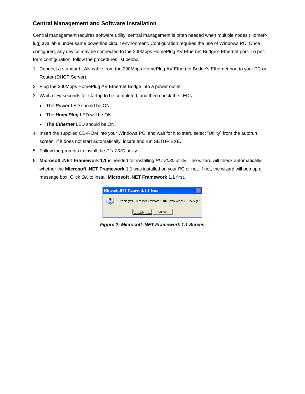### **Central Management and Software Installation**

Central management requires software utility, central management is often needed when multiple nodes (HomePlug) available under same powerline circuit environment. Configuration requires the use of Windows PC. Once configured, any device may be connected to the 200Mbps HomePlug AV Ethernet Bridge's Ethernet port. To perform configuration, follow the procedures list below.

- 1. Connect a standard LAN cable from the 200Mbps HomePlug AV Ethernet Bridge's Ethernet port to your PC or Router (DHCP Server).
- 2. Plug the 200Mbps HomePlug AV Ethernet Bridge into a power outlet.
- 3. Wait a few seconds for startup to be completed, and then check the LEDs
	- The *Power* LED should be ON.
	- The **HomePlug** LED will be ON
	- The *Ethernet* LED should be ON.
- 4. Insert the supplied CD-ROM into your Windows PC, and wait for it to start, select "Utility" from the autorun screen. If it does not start automatically, locate and run SETUP.EXE.
- 5. Follow the prompts to install the *PLI-2030* utility.
- 6. **Microsoft .NET Framework 1.1** is needed for installing *PLI-2030* utility. The wizard will check automatically whether the **Microsoft .NET Framework 1.1** was installed on your PC or not. If not, the wizard will pop up a message box. Click *OK* to install **Microsoft .NET Framework 1.1** first*.*

| Microsoft .NET Framework 1.1 Setup                              |
|-----------------------------------------------------------------|
| Would you like to install Microsoft .NET Framework 1.1 Package? |
| Cancel                                                          |

*Figure 2: Microsoft .NET Framework 1.1 Screen*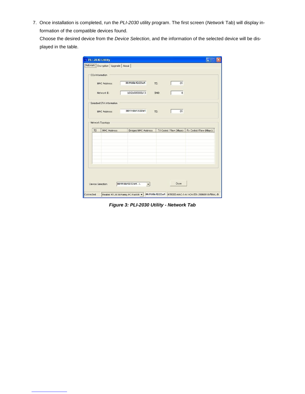7. Once installation is completed, run the *PLI-2030* utility program. The first screen (*Network* Tab) will display information of the compatible devices found.

Choose the desired device from the *Device Selection*, and the information of the selected device will be displayed in the table.

|            | MAC Address:             | 00:11:6b:12:22:e1          | 01<br>TEI:              |                       |
|------------|--------------------------|----------------------------|-------------------------|-----------------------|
|            | Network ID:              | b0f2e695666b13             | SNID:<br>$\overline{4}$ |                       |
|            | Selected STA Information |                            |                         |                       |
|            | MAC Address:             | 00:11:6b:12:22:e1          | 01<br>TEI:              |                       |
|            | Network Topology         |                            |                         |                       |
| <b>TEI</b> | <b>MAC Address</b>       | <b>Bridged MAC Address</b> | TX Coded / Raw (Mbps)   | Rx Coded / Raw (Mbps) |
|            |                          |                            |                         |                       |
|            |                          |                            |                         |                       |
|            |                          |                            |                         |                       |
|            |                          |                            |                         |                       |

*Figure 3: PLI-2030 Utility - Network Tab*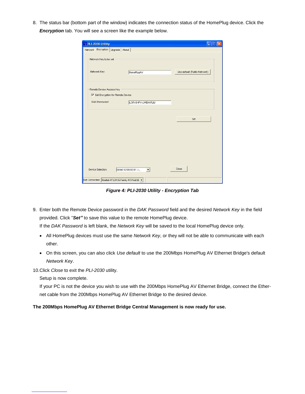8. The status bar (bottom part of the window) indicates the connection status of the HomePlug device. Click the *Encryption* tab. You will see a screen like the example below.

| PLI-2030 Utility                                             |                       |                              |
|--------------------------------------------------------------|-----------------------|------------------------------|
| Network Encryption Upgrade About                             |                       |                              |
| Network Key to be set                                        |                       |                              |
| Network Key:                                                 | HomePlugAV            | Use default (Public Network) |
| Remote Device Access Key<br>Set Encryption for Remote Device |                       |                              |
| DAK Password:                                                | ILGR-GHPY-LWEW-PLIU   |                              |
|                                                              |                       | Set                          |
|                                                              |                       |                              |
| Device Selection:                                            | 00:b0:52:00:00:01 - L | Close                        |
| Not Connected Realtek RTL8139 Family PCI Fast Et             |                       |                              |

*Figure 4: PLI-2030 Utility - Encryption Tab*

9. Enter both the Remote Device password in the *DAK Password* field and the desired *Network Key* in the field provided. Click "*Set"* to save this value to the remote HomePlug device.

If the *DAK Password* is left blank, the *Network Key* will be saved to the local HomePlug device only.

- All HomePlug devices must use the same *Network Key*, or they will not be able to communicate with each other.
- On this screen, you can also click *Use default* to use the 200Mbps HomePlug AV Ethernet Bridge's default *Network Key*.

10.Click *Close* to exit the *PLI-2030* utility.

Setup is now complete.

If your PC is not the device you wish to use with the 200Mbps HomePlug AV Ethernet Bridge, connect the Ethernet cable from the 200Mbps HomePlug AV Ethernet Bridge to the desired device.

**The 200Mbps HomePlug AV Ethernet Bridge Central Management is now ready for use.**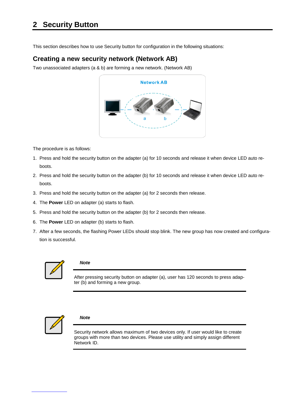This section describes how to use Security button for configuration in the following situations:

### **Creating a new security network (Network AB)**

Two unassociated adapters (a & b) are forming a new network. (Network AB)



The procedure is as follows:

- 1. Press and hold the security button on the adapter (a) for 10 seconds and release it when device LED auto reboots.
- 2. Press and hold the security button on the adapter (b) for 10 seconds and release it when device LED auto reboots.
- 3. Press and hold the security button on the adapter (a) for 2 seconds then release.
- 4. The **Power** LED on adapter (a) starts to flash.
- 5. Press and hold the security button on the adapter (b) for 2 seconds then release.
- 6. The **Power** LED on adapter (b) starts to flash.
- 7. After a few seconds, the flashing Power LEDs should stop blink. The new group has now created and configuration is successful.



#### *Note*

After pressing security button on adapter (a), user has 120 seconds to press adapter (b) and forming a new group.



#### *Note*

Security network allows maximum of two devices only. If user would like to create groups with more than two devices. Please use utility and simply assign different Network ID.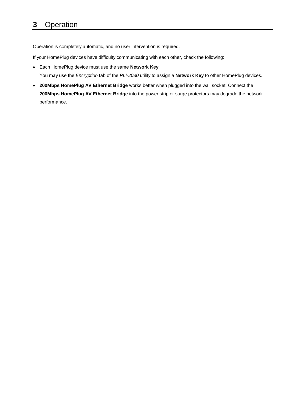### **3** Operation

Operation is completely automatic, and no user intervention is required.

If your HomePlug devices have difficulty communicating with each other, check the following:

- Each HomePlug device must use the same **Network Key**. You may use the *Encryption* tab of the *PLI-2030* utility to assign a **Network Key** to other HomePlug devices.
- **200Mbps HomePlug AV Ethernet Bridge** works better when plugged into the wall socket. Connect the **200Mbps HomePlug AV Ethernet Bridge** into the power strip or surge protectors may degrade the network performance.